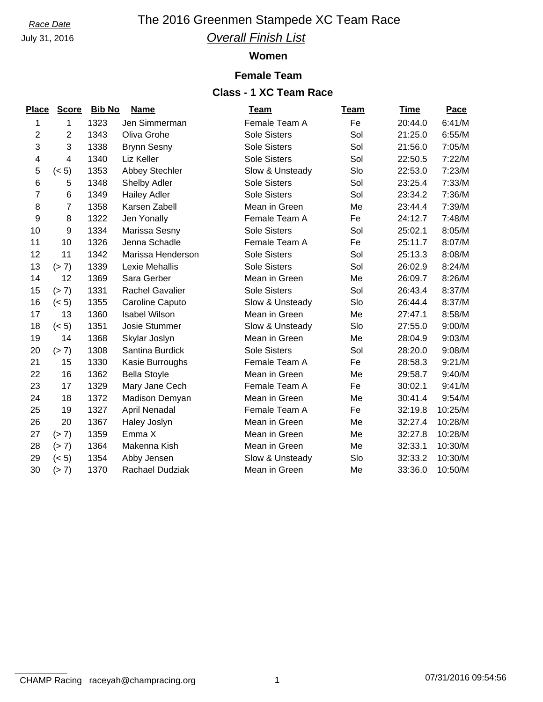July 31, 2016

# *Race Date* The 2016 Greenmen Stampede XC Team Race *Overall Finish List*

#### **Women**

### **Female Team**

## **Class - 1 XC Team Race**

| <b>Score</b>   |      | <b>Name</b>            | <b>Team</b>         | <u>Team</u>   | <b>Time</b> | Pace    |
|----------------|------|------------------------|---------------------|---------------|-------------|---------|
| 1              | 1323 | Jen Simmerman          | Female Team A       | Fe            | 20:44.0     | 6:41/M  |
| $\overline{2}$ | 1343 | Oliva Grohe            | <b>Sole Sisters</b> | Sol           | 21:25.0     | 6:55/M  |
| 3              | 1338 | <b>Brynn Sesny</b>     | <b>Sole Sisters</b> | Sol           | 21:56.0     | 7:05/M  |
| 4              | 1340 | Liz Keller             | <b>Sole Sisters</b> | Sol           | 22:50.5     | 7:22/M  |
| (< 5)          | 1353 | <b>Abbey Stechler</b>  | Slow & Unsteady     | Slo           | 22:53.0     | 7:23/M  |
| 5              | 1348 | <b>Shelby Adler</b>    | <b>Sole Sisters</b> | Sol           | 23:25.4     | 7:33/M  |
| $\,6$          | 1349 | <b>Hailey Adler</b>    | <b>Sole Sisters</b> | Sol           | 23:34.2     | 7:36/M  |
| 7              | 1358 | Karsen Zabell          | Mean in Green       | Me            | 23:44.4     | 7:39/M  |
| 8              | 1322 | Jen Yonally            | Female Team A       | Fe            | 24:12.7     | 7:48/M  |
| 9              | 1334 | Marissa Sesny          | <b>Sole Sisters</b> | Sol           | 25:02.1     | 8:05/M  |
| 10             | 1326 | Jenna Schadle          | Female Team A       | Fe            | 25:11.7     | 8:07/M  |
| 11             | 1342 | Marissa Henderson      | <b>Sole Sisters</b> | Sol           | 25:13.3     | 8:08/M  |
| (> 7)          | 1339 | Lexie Mehallis         | <b>Sole Sisters</b> | Sol           | 26:02.9     | 8:24/M  |
| 12             | 1369 | Sara Gerber            | Mean in Green       | Me            | 26:09.7     | 8:26/M  |
| (> 7)          | 1331 | <b>Rachel Gavalier</b> | <b>Sole Sisters</b> | Sol           | 26:43.4     | 8:37/M  |
| (< 5)          | 1355 | Caroline Caputo        | Slow & Unsteady     | Slo           | 26:44.4     | 8:37/M  |
| 13             | 1360 | <b>Isabel Wilson</b>   | Mean in Green       | Me            | 27:47.1     | 8:58/M  |
| (< 5)          | 1351 | <b>Josie Stummer</b>   | Slow & Unsteady     | Slo           | 27:55.0     | 9:00/M  |
| 14             | 1368 | Skylar Joslyn          | Mean in Green       | Me            | 28:04.9     | 9:03/M  |
| (> 7)          | 1308 | Santina Burdick        | <b>Sole Sisters</b> | Sol           | 28:20.0     | 9:08/M  |
| 15             | 1330 | Kasie Burroughs        | Female Team A       | Fe            | 28:58.3     | 9:21/M  |
| 16             | 1362 | <b>Bella Stoyle</b>    | Mean in Green       | Me            | 29:58.7     | 9:40/M  |
| 17             | 1329 | Mary Jane Cech         | Female Team A       | Fe            | 30:02.1     | 9:41/M  |
| 18             | 1372 | Madison Demyan         | Mean in Green       | Me            | 30:41.4     | 9:54/M  |
| 19             | 1327 | April Nenadal          | Female Team A       | Fe            | 32:19.8     | 10:25/M |
| 20             | 1367 | Haley Joslyn           |                     | Me            | 32:27.4     | 10:28/M |
| (> 7)          | 1359 | Emma X                 | Mean in Green       | Me            | 32:27.8     | 10:28/M |
| (> 7)          | 1364 | Makenna Kish           | Mean in Green       | Me            | 32:33.1     | 10:30/M |
| (< 5)          | 1354 | Abby Jensen            | Slow & Unsteady     | Slo           | 32:33.2     | 10:30/M |
| (> 7)          | 1370 | Rachael Dudziak        | Mean in Green       | Me            | 33:36.0     | 10:50/M |
|                |      |                        | <b>Bib No</b>       | Mean in Green |             |         |